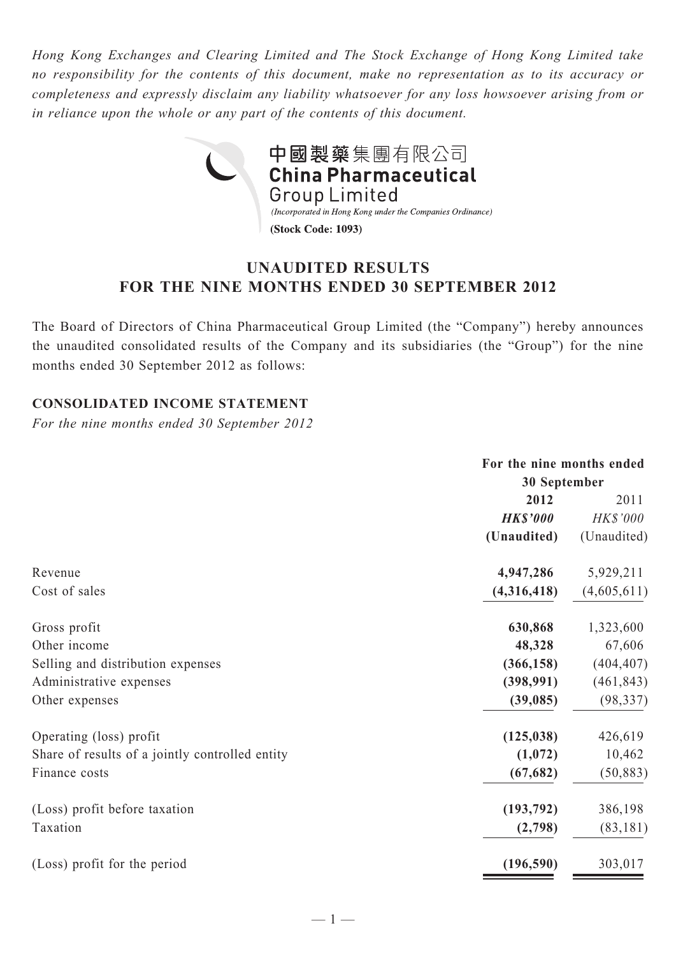*Hong Kong Exchanges and Clearing Limited and The Stock Exchange of Hong Kong Limited take no responsibility for the contents of this document, make no representation as to its accuracy or completeness and expressly disclaim any liability whatsoever for any loss howsoever arising from or in reliance upon the whole or any part of the contents of this document.*



# **UNAUDITED RESULTS FOR THE NINE MONTHS ENDED 30 SEPTEMBER 2012**

The Board of Directors of China Pharmaceutical Group Limited (the "Company") hereby announces the unaudited consolidated results of the Company and its subsidiaries (the "Group") for the nine months ended 30 September 2012 as follows:

## **CONSOLIDATED INCOME STATEMENT**

*For the nine months ended 30 September 2012*

|                                                 | For the nine months ended |                 |  |
|-------------------------------------------------|---------------------------|-----------------|--|
|                                                 | 30 September              |                 |  |
|                                                 | 2012                      | 2011            |  |
|                                                 | <b>HK\$'000</b>           | <b>HK\$'000</b> |  |
|                                                 | (Unaudited)               | (Unaudited)     |  |
| Revenue                                         | 4,947,286                 | 5,929,211       |  |
| Cost of sales                                   | (4,316,418)               | (4,605,611)     |  |
| Gross profit                                    | 630,868                   | 1,323,600       |  |
| Other income                                    | 48,328                    | 67,606          |  |
| Selling and distribution expenses               | (366, 158)                | (404, 407)      |  |
| Administrative expenses                         | (398, 991)                | (461, 843)      |  |
| Other expenses                                  | (39,085)                  | (98, 337)       |  |
| Operating (loss) profit                         | (125, 038)                | 426,619         |  |
| Share of results of a jointly controlled entity | (1,072)                   | 10,462          |  |
| Finance costs                                   | (67, 682)                 | (50, 883)       |  |
| (Loss) profit before taxation                   | (193, 792)                | 386,198         |  |
| Taxation                                        | (2,798)                   | (83, 181)       |  |
| (Loss) profit for the period                    | (196, 590)                | 303,017         |  |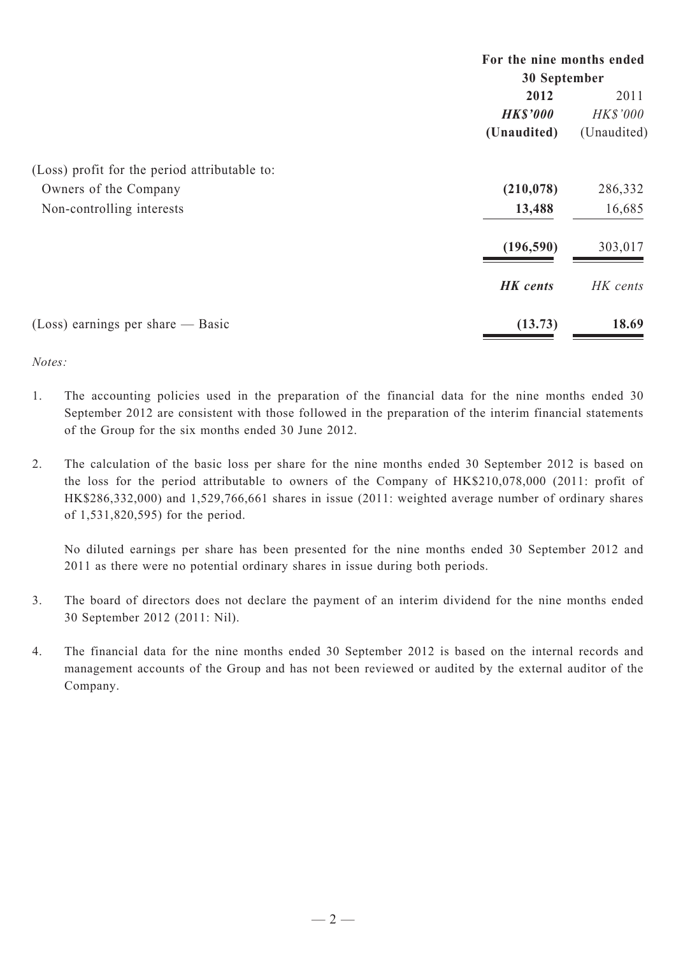|                                               | For the nine months ended<br>30 September |                 |  |
|-----------------------------------------------|-------------------------------------------|-----------------|--|
|                                               | 2012                                      | 2011            |  |
|                                               | <b>HK\$'000</b>                           | <b>HK\$'000</b> |  |
|                                               | (Unaudited)                               | (Unaudited)     |  |
| (Loss) profit for the period attributable to: |                                           |                 |  |
| Owners of the Company                         | (210, 078)                                | 286,332         |  |
| Non-controlling interests                     | 13,488                                    | 16,685          |  |
|                                               | (196, 590)                                | 303,017         |  |
|                                               | <b>HK</b> cents                           | HK cents        |  |
| $(Loss)$ earnings per share — Basic           | (13.73)                                   | 18.69           |  |

*Notes:*

- 1. The accounting policies used in the preparation of the financial data for the nine months ended 30 September 2012 are consistent with those followed in the preparation of the interim financial statements of the Group for the six months ended 30 June 2012.
- 2. The calculation of the basic loss per share for the nine months ended 30 September 2012 is based on the loss for the period attributable to owners of the Company of HK\$210,078,000 (2011: profit of HK\$286,332,000) and 1,529,766,661 shares in issue (2011: weighted average number of ordinary shares of 1,531,820,595) for the period.

No diluted earnings per share has been presented for the nine months ended 30 September 2012 and 2011 as there were no potential ordinary shares in issue during both periods.

- 3. The board of directors does not declare the payment of an interim dividend for the nine months ended 30 September 2012 (2011: Nil).
- 4. The financial data for the nine months ended 30 September 2012 is based on the internal records and management accounts of the Group and has not been reviewed or audited by the external auditor of the Company.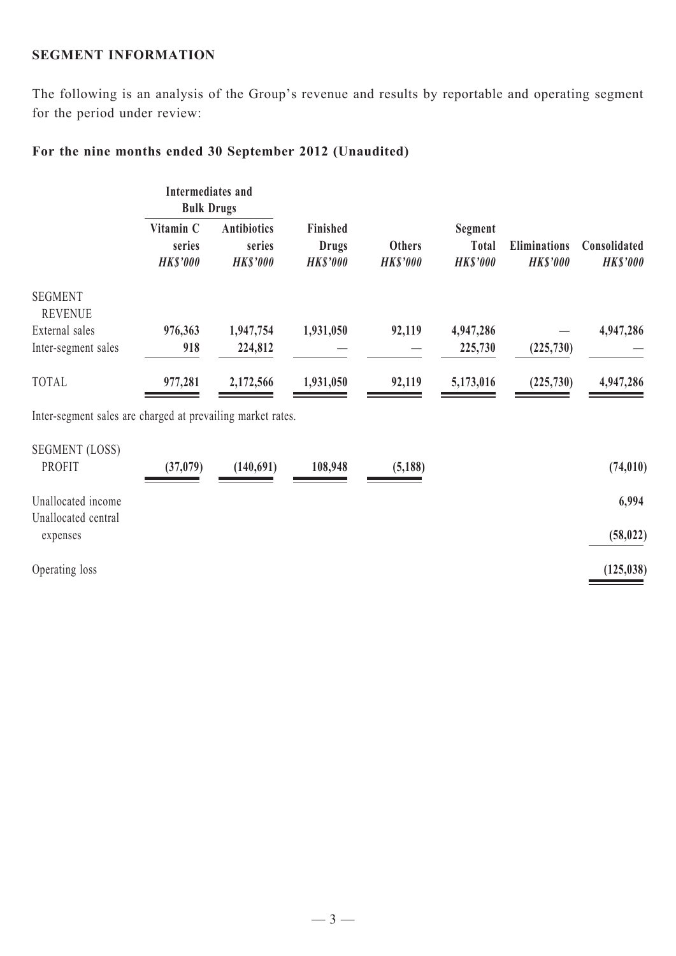### **SEGMENT INFORMATION**

The following is an analysis of the Group's revenue and results by reportable and operating segment for the period under review:

# **For the nine months ended 30 September 2012 (Unaudited)**

|                                                             | Intermediates and<br><b>Bulk Drugs</b> |                                                 |                                             |                                  |                                            |                                        |                                 |
|-------------------------------------------------------------|----------------------------------------|-------------------------------------------------|---------------------------------------------|----------------------------------|--------------------------------------------|----------------------------------------|---------------------------------|
|                                                             | Vitamin C<br>series<br><b>HK\$'000</b> | <b>Antibiotics</b><br>series<br><b>HK\$'000</b> | Finished<br><b>Drugs</b><br><b>HK\$'000</b> | <b>Others</b><br><b>HK\$'000</b> | Segment<br><b>Total</b><br><b>HK\$'000</b> | <b>Eliminations</b><br><b>HK\$'000</b> | Consolidated<br><b>HK\$'000</b> |
| <b>SEGMENT</b><br><b>REVENUE</b>                            |                                        |                                                 |                                             |                                  |                                            |                                        |                                 |
| External sales                                              | 976,363                                | 1,947,754                                       | 1,931,050                                   | 92,119                           | 4,947,286                                  |                                        | 4,947,286                       |
| Inter-segment sales                                         | 918                                    | 224,812                                         |                                             |                                  | 225,730                                    | (225, 730)                             |                                 |
| <b>TOTAL</b>                                                | 977,281                                | 2,172,566                                       | 1,931,050                                   | 92,119                           | 5,173,016                                  | (225, 730)                             | 4,947,286                       |
| Inter-segment sales are charged at prevailing market rates. |                                        |                                                 |                                             |                                  |                                            |                                        |                                 |
| <b>SEGMENT (LOSS)</b>                                       |                                        |                                                 |                                             |                                  |                                            |                                        |                                 |
| <b>PROFIT</b>                                               | (37, 079)                              | (140,691)                                       | 108,948                                     | (5, 188)                         |                                            |                                        | (74, 010)                       |
| Unallocated income<br>Unallocated central                   |                                        |                                                 |                                             |                                  |                                            |                                        | 6,994                           |
| expenses                                                    |                                        |                                                 |                                             |                                  |                                            |                                        | (58, 022)                       |
| Operating loss                                              |                                        |                                                 |                                             |                                  |                                            |                                        | (125, 038)                      |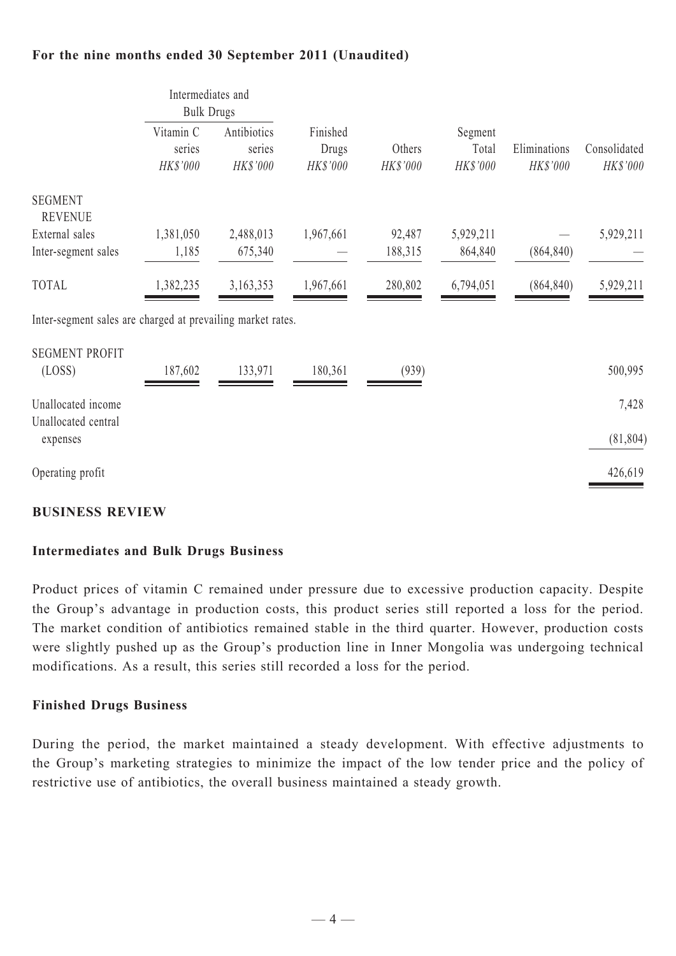## **For the nine months ended 30 September 2011 (Unaudited)**

|                                                             | Intermediates and<br><b>Bulk Drugs</b> |           |                   |                    |                   |                          |                          |  |
|-------------------------------------------------------------|----------------------------------------|-----------|-------------------|--------------------|-------------------|--------------------------|--------------------------|--|
|                                                             | Vitamin C<br>series<br>HK\$'000        |           | Antibiotics       | Finished           |                   | Segment                  |                          |  |
|                                                             |                                        | series    | Drugs<br>HK\$'000 | Others<br>HK\$'000 | Total<br>HK\$'000 | Eliminations<br>HK\$'000 | Consolidated<br>HK\$'000 |  |
|                                                             |                                        | HK\$'000  |                   |                    |                   |                          |                          |  |
| <b>SEGMENT</b><br><b>REVENUE</b>                            |                                        |           |                   |                    |                   |                          |                          |  |
| External sales                                              | 1,381,050                              | 2,488,013 | 1,967,661         | 92,487             | 5,929,211         |                          | 5,929,211                |  |
| Inter-segment sales                                         | 1,185                                  | 675,340   |                   | 188,315            | 864,840           | (864, 840)               |                          |  |
| <b>TOTAL</b>                                                | 1,382,235                              | 3,163,353 | 1,967,661         | 280,802            | 6,794,051         | (864, 840)               | 5,929,211                |  |
| Inter-segment sales are charged at prevailing market rates. |                                        |           |                   |                    |                   |                          |                          |  |
| <b>SEGMENT PROFIT</b>                                       |                                        |           |                   |                    |                   |                          |                          |  |
| (LOSS)                                                      | 187,602                                | 133,971   | 180,361           | (939)              |                   |                          | 500,995                  |  |
| Unallocated income                                          |                                        |           |                   |                    |                   |                          | 7,428                    |  |
| Unallocated central<br>expenses                             |                                        |           |                   |                    |                   |                          | (81, 804)                |  |
| Operating profit                                            |                                        |           |                   |                    |                   |                          | 426,619                  |  |

### **BUSINESS REVIEW**

#### **Intermediates and Bulk Drugs Business**

Product prices of vitamin C remained under pressure due to excessive production capacity. Despite the Group's advantage in production costs, this product series still reported a loss for the period. The market condition of antibiotics remained stable in the third quarter. However, production costs were slightly pushed up as the Group's production line in Inner Mongolia was undergoing technical modifications. As a result, this series still recorded a loss for the period.

#### **Finished Drugs Business**

During the period, the market maintained a steady development. With effective adjustments to the Group's marketing strategies to minimize the impact of the low tender price and the policy of restrictive use of antibiotics, the overall business maintained a steady growth.